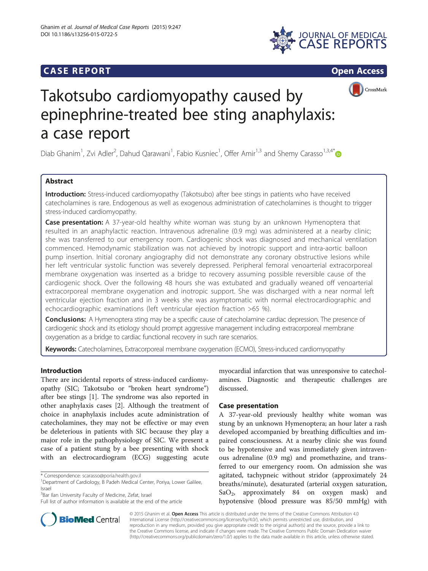







# Takotsubo cardiomyopathy caused by epinephrine-treated bee sting anaphylaxis: a case report

Diab Ghanim<sup>1</sup>, Zvi Adler<sup>2</sup>, Dahud Qarawani<sup>1</sup>, Fabio Kusniec<sup>1</sup>, Offer Amir<sup>1,3</sup> and Shemy Carasso<sup>1,3,4\*</sup>

# Abstract

Introduction: Stress-induced cardiomyopathy (Takotsubo) after bee stings in patients who have received catecholamines is rare. Endogenous as well as exogenous administration of catecholamines is thought to trigger stress-induced cardiomyopathy.

Case presentation: A 37-year-old healthy white woman was stung by an unknown Hymenoptera that resulted in an anaphylactic reaction. Intravenous adrenaline (0.9 mg) was administered at a nearby clinic; she was transferred to our emergency room. Cardiogenic shock was diagnosed and mechanical ventilation commenced. Hemodynamic stabilization was not achieved by inotropic support and intra-aortic balloon pump insertion. Initial coronary angiography did not demonstrate any coronary obstructive lesions while her left ventricular systolic function was severely depressed. Peripheral femoral venoarterial extracorporeal membrane oxygenation was inserted as a bridge to recovery assuming possible reversible cause of the cardiogenic shock. Over the following 48 hours she was extubated and gradually weaned off venoarterial extracorporeal membrane oxygenation and inotropic support. She was discharged with a near normal left ventricular ejection fraction and in 3 weeks she was asymptomatic with normal electrocardiographic and echocardiographic examinations (left ventricular ejection fraction >65 %).

**Conclusions:** A Hymenoptera sting may be a specific cause of catecholamine cardiac depression. The presence of cardiogenic shock and its etiology should prompt aggressive management including extracorporeal membrane oxygenation as a bridge to cardiac functional recovery in such rare scenarios.

Keywords: Catecholamines, Extracorporeal membrane oxygenation (ECMO), Stress-induced cardiomyopathy

## Introduction

There are incidental reports of stress-induced cardiomyopathy (SIC; Takotsubo or "broken heart syndrome") after bee stings [\[1](#page-2-0)]. The syndrome was also reported in other anaphylaxis cases [\[2](#page-2-0)]. Although the treatment of choice in anaphylaxis includes acute administration of catecholamines, they may not be effective or may even be deleterious in patients with SIC because they play a major role in the pathophysiology of SIC. We present a case of a patient stung by a bee presenting with shock with an electrocardiogram (ECG) suggesting acute

\* Correspondence: [scarasso@poria.health.gov.il](mailto:scarasso@poria.health.gov.il) <sup>1</sup>

<sup>3</sup>Bar Ilan University Faculty of Medicine, Zefat, Israel



## Case presentation

A 37-year-old previously healthy white woman was stung by an unknown Hymenoptera; an hour later a rash developed accompanied by breathing difficulties and impaired consciousness. At a nearby clinic she was found to be hypotensive and was immediately given intravenous adrenaline (0.9 mg) and promethazine, and transferred to our emergency room. On admission she was agitated, tachypneic without stridor (approximately 24 breaths/minute), desaturated (arterial oxygen saturation, SaO<sub>2</sub>, approximately 84 on oxygen mask) and hypotensive (blood pressure was 85/50 mmHg) with



© 2015 Ghanim et al. Open Access This article is distributed under the terms of the Creative Commons Attribution 4.0 International License [\(http://creativecommons.org/licenses/by/4.0/](http://creativecommons.org/licenses/by/4.0/)), which permits unrestricted use, distribution, and reproduction in any medium, provided you give appropriate credit to the original author(s) and the source, provide a link to the Creative Commons license, and indicate if changes were made. The Creative Commons Public Domain Dedication waiver [\(http://creativecommons.org/publicdomain/zero/1.0/](http://creativecommons.org/publicdomain/zero/1.0/)) applies to the data made available in this article, unless otherwise stated.

Department of Cardiology, B Padeh Medical Center, Poriya, Lower Galilee, Israel

Full list of author information is available at the end of the article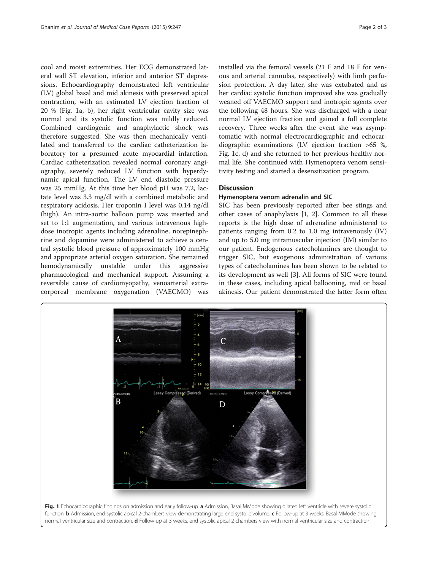cool and moist extremities. Her ECG demonstrated lateral wall ST elevation, inferior and anterior ST depressions. Echocardiography demonstrated left ventricular (LV) global basal and mid akinesis with preserved apical contraction, with an estimated LV ejection fraction of 20 % (Fig. 1a, b), her right ventricular cavity size was normal and its systolic function was mildly reduced. Combined cardiogenic and anaphylactic shock was therefore suggested. She was then mechanically ventilated and transferred to the cardiac catheterization laboratory for a presumed acute myocardial infarction. Cardiac catheterization revealed normal coronary angiography, severely reduced LV function with hyperdynamic apical function. The LV end diastolic pressure was 25 mmHg. At this time her blood pH was 7.2, lactate level was 3.3 mg/dl with a combined metabolic and respiratory acidosis. Her troponin I level was 0.14 ng/dl (high). An intra-aortic balloon pump was inserted and set to 1:1 augmentation, and various intravenous highdose inotropic agents including adrenaline, norepinephrine and dopamine were administered to achieve a central systolic blood pressure of approximately 100 mmHg and appropriate arterial oxygen saturation. She remained hemodynamically unstable under this aggressive pharmacological and mechanical support. Assuming a reversible cause of cardiomyopathy, venoarterial extracorporeal membrane oxygenation (VAECMO) was

installed via the femoral vessels (21 F and 18 F for venous and arterial cannulas, respectively) with limb perfusion protection. A day later, she was extubated and as her cardiac systolic function improved she was gradually weaned off VAECMO support and inotropic agents over the following 48 hours. She was discharged with a near normal LV ejection fraction and gained a full complete recovery. Three weeks after the event she was asymptomatic with normal electrocardiographic and echocardiographic examinations (LV ejection fraction >65 %, Fig. 1c, d) and she returned to her previous healthy normal life. She continued with Hymenoptera venom sensitivity testing and started a desensitization program.

## **Discussion**

#### Hymenoptera venom adrenalin and SIC

SIC has been previously reported after bee stings and other cases of anaphylaxis [[1, 2\]](#page-2-0). Common to all these reports is the high dose of adrenaline administered to patients ranging from 0.2 to 1.0 mg intravenously (IV) and up to 5.0 mg intramuscular injection (IM) similar to our patient. Endogenous catecholamines are thought to trigger SIC, but exogenous administration of various types of catecholamines has been shown to be related to its development as well [[3](#page-2-0)]. All forms of SIC were found in these cases, including apical ballooning, mid or basal akinesis. Our patient demonstrated the latter form often